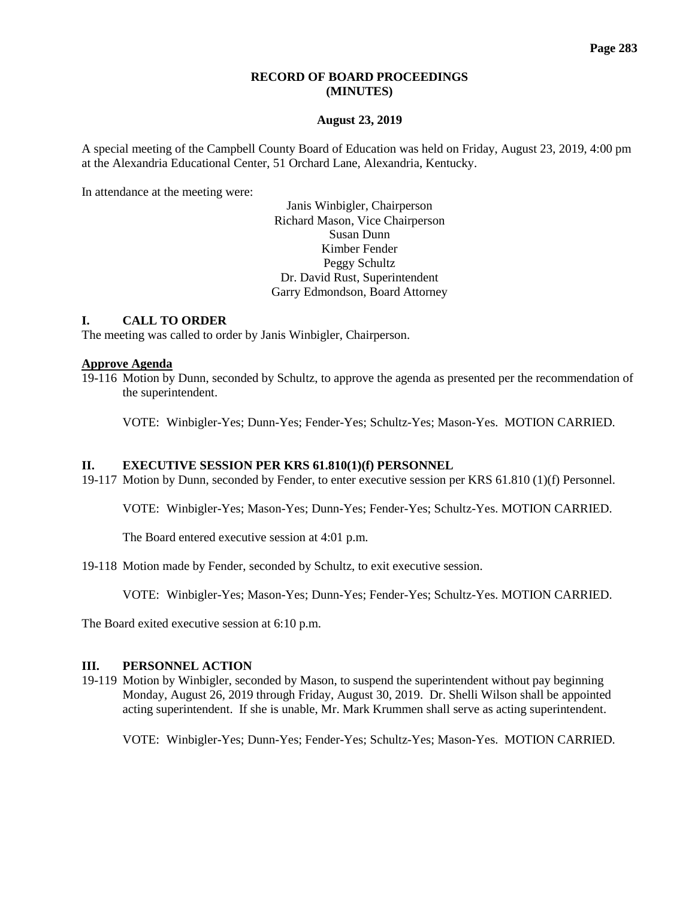# **RECORD OF BOARD PROCEEDINGS (MINUTES)**

### **August 23, 2019**

A special meeting of the Campbell County Board of Education was held on Friday, August 23, 2019, 4:00 pm at the Alexandria Educational Center, 51 Orchard Lane, Alexandria, Kentucky.

In attendance at the meeting were:

Janis Winbigler, Chairperson Richard Mason, Vice Chairperson Susan Dunn Kimber Fender Peggy Schultz Dr. David Rust, Superintendent Garry Edmondson, Board Attorney

## **I. CALL TO ORDER**

The meeting was called to order by Janis Winbigler, Chairperson.

### **Approve Agenda**

19-116 Motion by Dunn, seconded by Schultz, to approve the agenda as presented per the recommendation of the superintendent.

VOTE: Winbigler-Yes; Dunn-Yes; Fender-Yes; Schultz-Yes; Mason-Yes. MOTION CARRIED.

### **II. EXECUTIVE SESSION PER KRS 61.810(1)(f) PERSONNEL**

19-117 Motion by Dunn, seconded by Fender, to enter executive session per KRS 61.810 (1)(f) Personnel.

VOTE: Winbigler-Yes; Mason-Yes; Dunn-Yes; Fender-Yes; Schultz-Yes. MOTION CARRIED.

The Board entered executive session at 4:01 p.m.

19-118 Motion made by Fender, seconded by Schultz, to exit executive session.

VOTE: Winbigler-Yes; Mason-Yes; Dunn-Yes; Fender-Yes; Schultz-Yes. MOTION CARRIED.

The Board exited executive session at 6:10 p.m.

#### **III. PERSONNEL ACTION**

19-119 Motion by Winbigler, seconded by Mason, to suspend the superintendent without pay beginning Monday, August 26, 2019 through Friday, August 30, 2019. Dr. Shelli Wilson shall be appointed acting superintendent. If she is unable, Mr. Mark Krummen shall serve as acting superintendent.

VOTE: Winbigler-Yes; Dunn-Yes; Fender-Yes; Schultz-Yes; Mason-Yes. MOTION CARRIED.